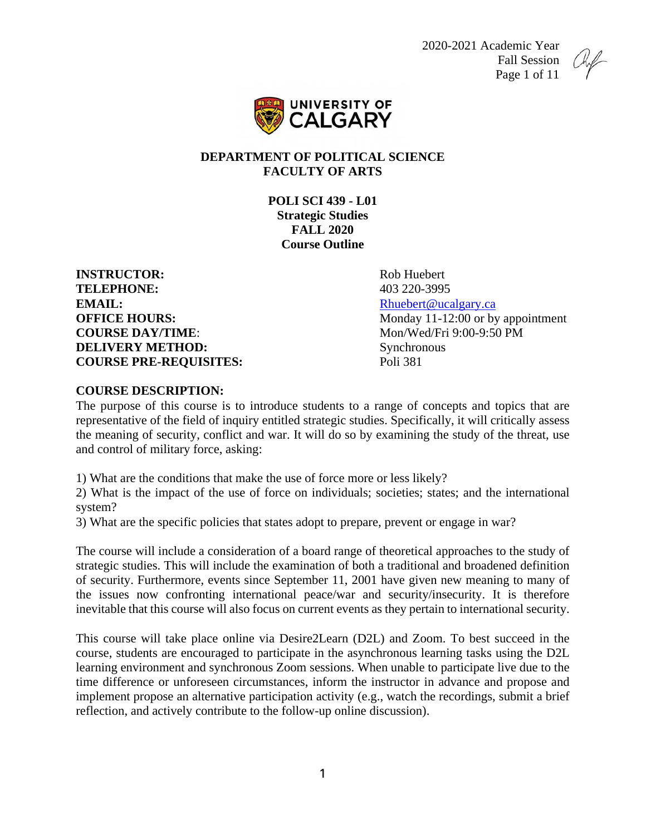2020-2021 Academic Year Fall Session Page 1 of 11





### **DEPARTMENT OF POLITICAL SCIENCE FACULTY OF ARTS**

**POLI SCI 439 - L01 Strategic Studies FALL 2020 Course Outline**

**INSTRUCTOR:** Rob Huebert **TELEPHONE:** 403 220-3995 **EMAIL:** Rhuebert @ucalgary.ca **COURSE DAY/TIME:** Mon/Wed/Fri 9:00-9:50 PM **DELIVERY METHOD:** Synchronous **COURSE PRE-REQUISITES:** Poli 381

**OFFICE HOURS:** Monday 11-12:00 or by appointment

#### **COURSE DESCRIPTION:**

The purpose of this course is to introduce students to a range of concepts and topics that are representative of the field of inquiry entitled strategic studies. Specifically, it will critically assess the meaning of security, conflict and war. It will do so by examining the study of the threat, use and control of military force, asking:

1) What are the conditions that make the use of force more or less likely?

2) What is the impact of the use of force on individuals; societies; states; and the international system?

3) What are the specific policies that states adopt to prepare, prevent or engage in war?

The course will include a consideration of a board range of theoretical approaches to the study of strategic studies. This will include the examination of both a traditional and broadened definition of security. Furthermore, events since September 11, 2001 have given new meaning to many of the issues now confronting international peace/war and security/insecurity. It is therefore inevitable that this course will also focus on current events as they pertain to international security.

This course will take place online via Desire2Learn (D2L) and Zoom. To best succeed in the course, students are encouraged to participate in the asynchronous learning tasks using the D2L learning environment and synchronous Zoom sessions. When unable to participate live due to the time difference or unforeseen circumstances, inform the instructor in advance and propose and implement propose an alternative participation activity (e.g., watch the recordings, submit a brief reflection, and actively contribute to the follow-up online discussion).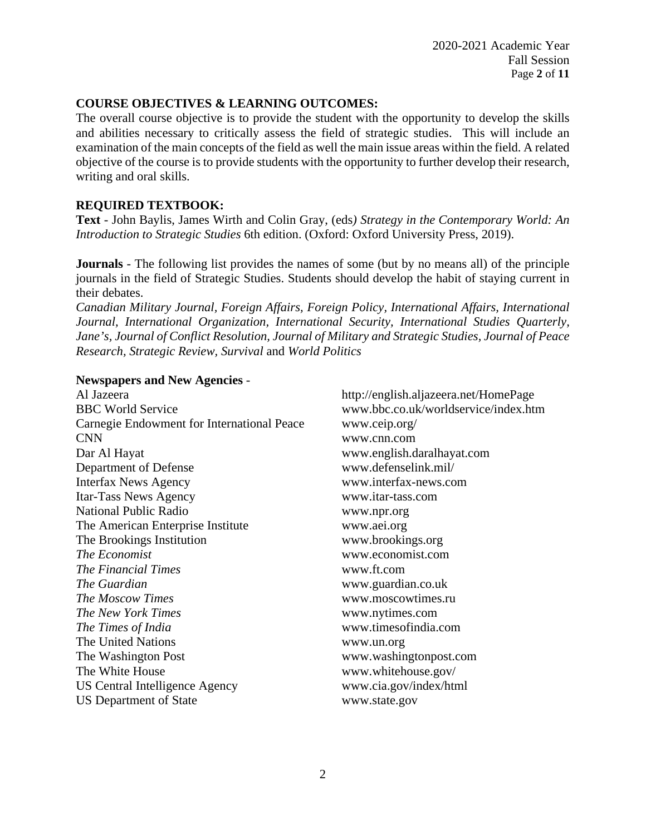## **COURSE OBJECTIVES & LEARNING OUTCOMES:**

The overall course objective is to provide the student with the opportunity to develop the skills and abilities necessary to critically assess the field of strategic studies. This will include an examination of the main concepts of the field as well the main issue areas within the field. A related objective of the course is to provide students with the opportunity to further develop their research, writing and oral skills.

## **REQUIRED TEXTBOOK:**

**Text** - John Baylis, James Wirth and Colin Gray, (eds*) Strategy in the Contemporary World: An Introduction to Strategic Studies* 6th edition. (Oxford: Oxford University Press, 2019).

**Journals** - The following list provides the names of some (but by no means all) of the principle journals in the field of Strategic Studies. Students should develop the habit of staying current in their debates.

*Canadian Military Journal, Foreign Affairs, Foreign Policy, International Affairs, International Journal, International Organization, International Security, International Studies Quarterly, Jane's, Journal of Conflict Resolution, Journal of Military and Strategic Studies, Journal of Peace Research, Strategic Review, Survival* and *World Politics*

#### **Newspapers and New Agencies** -

Al Jazeera http://english.aljazeera.net/HomePage BBC World Service www.bbc.co.uk/worldservice/index.htm Carnegie Endowment for International Peace www.ceip.org/ CNN www.cnn.com Dar Al Hayat www.english.daralhayat.com Department of Defense Interfax News Agency www.interfax-news.com Itar-Tass News Agency www.itar-tass.com National Public Radio www.npr.org The American Enterprise Institute www.aei.org The Brookings Institution www.brookings.org *The Economist* www.economist.com *The Financial Times* www.ft.com *The Guardian* www.guardian.co.uk *The Moscow Times* www.moscowtimes.ru *The New York Times* www.nytimes.com *The Times of India* www.timesofindia.com The United Nations www.un.org The Washington Post www.washingtonpost.com The White House www.whitehouse.gov/ US Central Intelligence Agency www.cia.gov/index/html US Department of State www.state.gov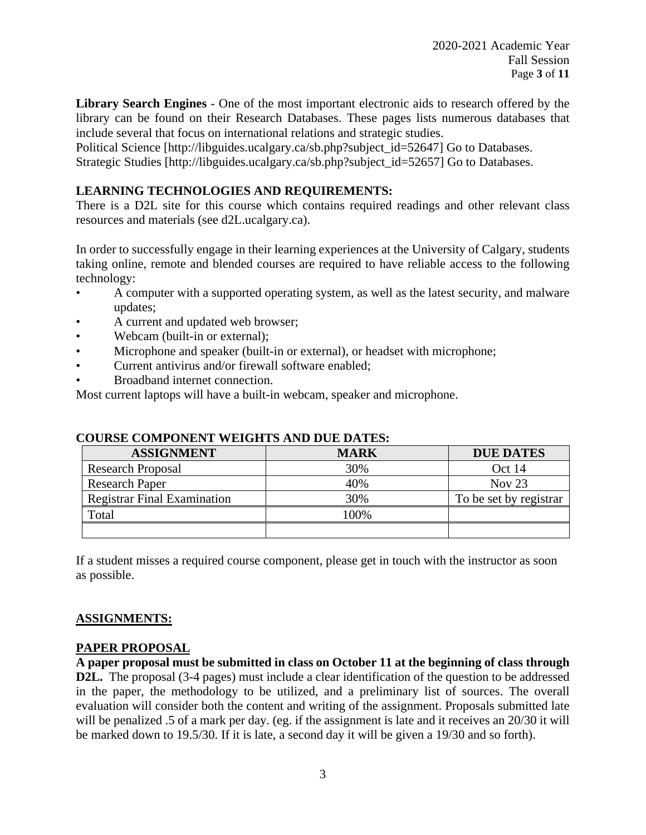**Library Search Engines** - One of the most important electronic aids to research offered by the library can be found on their Research Databases. These pages lists numerous databases that include several that focus on international relations and strategic studies.

Political Science [http://libguides.ucalgary.ca/sb.php?subject\_id=52647] Go to Databases. Strategic Studies [http://libguides.ucalgary.ca/sb.php?subject\_id=52657] Go to Databases.

### **LEARNING TECHNOLOGIES AND REQUIREMENTS:**

There is a D2L site for this course which contains required readings and other relevant class resources and materials (see d2L.ucalgary.ca).

In order to successfully engage in their learning experiences at the University of Calgary, students taking online, remote and blended courses are required to have reliable access to the following technology:

- A computer with a supported operating system, as well as the latest security, and malware updates;
- A current and updated web browser;
- Webcam (built-in or external);
- Microphone and speaker (built-in or external), or headset with microphone;
- Current antivirus and/or firewall software enabled;
- Broadband internet connection.

Most current laptops will have a built-in webcam, speaker and microphone.

| <b>ASSIGNMENT</b>                  | <b>MARK</b> | <b>DUE DATES</b>       |
|------------------------------------|-------------|------------------------|
| <b>Research Proposal</b>           | 30%         | Oct 14                 |
| <b>Research Paper</b>              | 40%         | Nov $23$               |
| <b>Registrar Final Examination</b> | 30%         | To be set by registrar |
| Total                              | 00%         |                        |
|                                    |             |                        |

#### **COURSE COMPONENT WEIGHTS AND DUE DATES:**

If a student misses a required course component, please get in touch with the instructor as soon as possible.

#### **ASSIGNMENTS:**

## **PAPER PROPOSAL**

**A paper proposal must be submitted in class on October 11 at the beginning of class through D2L.** The proposal (3-4 pages) must include a clear identification of the question to be addressed in the paper, the methodology to be utilized, and a preliminary list of sources. The overall evaluation will consider both the content and writing of the assignment. Proposals submitted late will be penalized .5 of a mark per day. (eg. if the assignment is late and it receives an 20/30 it will be marked down to 19.5/30. If it is late, a second day it will be given a 19/30 and so forth).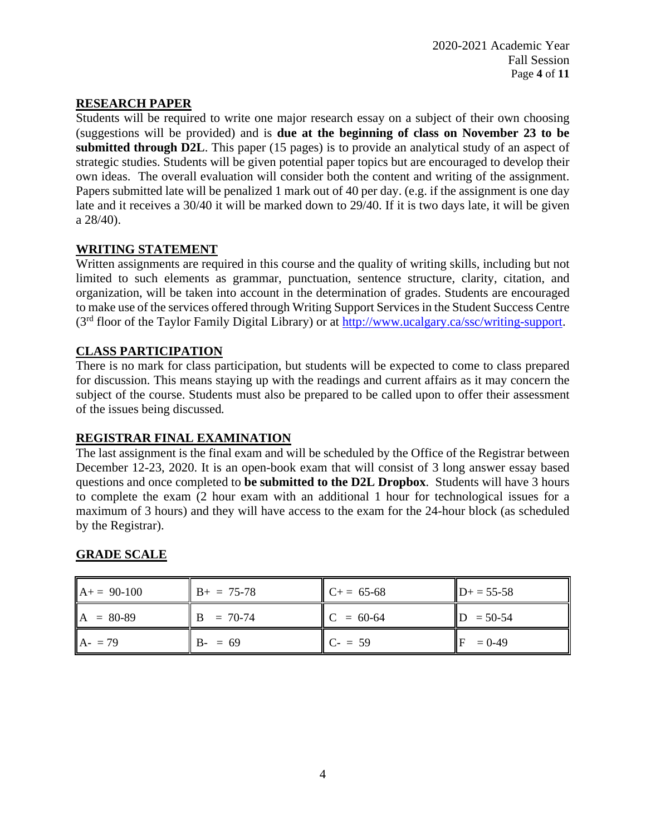## **RESEARCH PAPER**

Students will be required to write one major research essay on a subject of their own choosing (suggestions will be provided) and is **due at the beginning of class on November 23 to be submitted through D2L**. This paper (15 pages) is to provide an analytical study of an aspect of strategic studies. Students will be given potential paper topics but are encouraged to develop their own ideas. The overall evaluation will consider both the content and writing of the assignment. Papers submitted late will be penalized 1 mark out of 40 per day. (e.g. if the assignment is one day late and it receives a 30/40 it will be marked down to 29/40. If it is two days late, it will be given a 28/40).

#### **WRITING STATEMENT**

Written assignments are required in this course and the quality of writing skills, including but not limited to such elements as grammar, punctuation, sentence structure, clarity, citation, and organization, will be taken into account in the determination of grades. Students are encouraged to make use of the services offered through Writing Support Services in the Student Success Centre (3rd floor of the Taylor Family Digital Library) or at [http://www.ucalgary.ca/ssc/writing-support.](http://www.ucalgary.ca/ssc/writing-support)

# **CLASS PARTICIPATION**

There is no mark for class participation, but students will be expected to come to class prepared for discussion. This means staying up with the readings and current affairs as it may concern the subject of the course. Students must also be prepared to be called upon to offer their assessment of the issues being discussed*.* 

## **REGISTRAR FINAL EXAMINATION**

The last assignment is the final exam and will be scheduled by the Office of the Registrar between December 12-23, 2020. It is an open-book exam that will consist of 3 long answer essay based questions and once completed to **be submitted to the D2L Dropbox**. Students will have 3 hours to complete the exam (2 hour exam with an additional 1 hour for technological issues for a maximum of 3 hours) and they will have access to the exam for the 24-hour block (as scheduled by the Registrar).

## **GRADE SCALE**

| $A+= 90-100$ | $B+ = 75-78$ | $C+= 65-68$ | $D+ = 55-58$ |
|--------------|--------------|-------------|--------------|
| $A = 80-89$  | $B = 70-74$  | $C = 60-64$ | $D = 50-54$  |
| $A - 79$     | $B - 59$     | $C = 59$    | $= 0 - 49$   |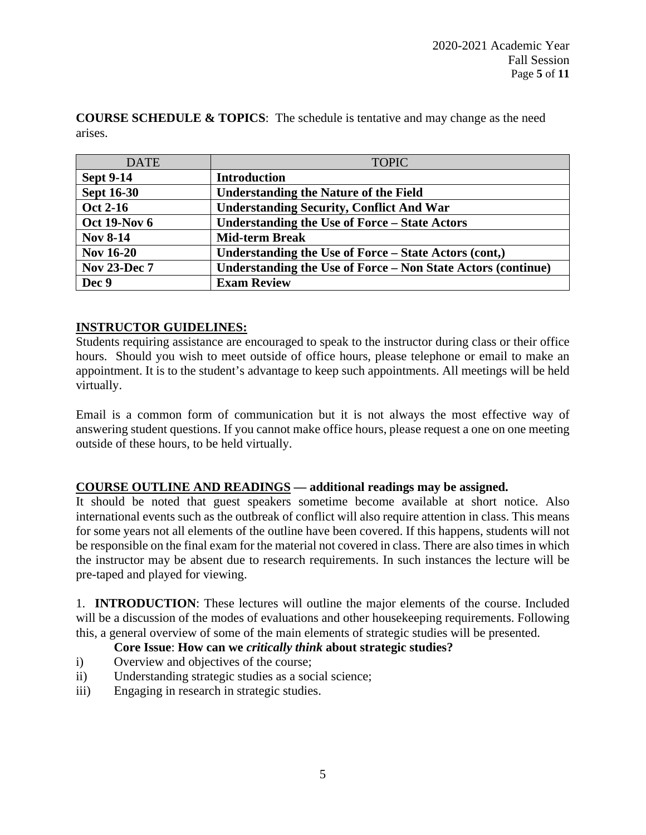**COURSE SCHEDULE & TOPICS**: The schedule is tentative and may change as the need arises.

| <b>DATE</b>         | <b>TOPIC</b>                                                 |
|---------------------|--------------------------------------------------------------|
| <b>Sept 9-14</b>    | <b>Introduction</b>                                          |
| <b>Sept 16-30</b>   | <b>Understanding the Nature of the Field</b>                 |
| <b>Oct 2-16</b>     | <b>Understanding Security, Conflict And War</b>              |
| <b>Oct 19-Nov 6</b> | <b>Understanding the Use of Force – State Actors</b>         |
| <b>Nov 8-14</b>     | <b>Mid-term Break</b>                                        |
| <b>Nov 16-20</b>    | Understanding the Use of Force – State Actors (cont,)        |
| <b>Nov 23-Dec 7</b> | Understanding the Use of Force – Non State Actors (continue) |
| Dec 9               | <b>Exam Review</b>                                           |

# **INSTRUCTOR GUIDELINES:**

Students requiring assistance are encouraged to speak to the instructor during class or their office hours. Should you wish to meet outside of office hours, please telephone or email to make an appointment. It is to the student's advantage to keep such appointments. All meetings will be held virtually.

Email is a common form of communication but it is not always the most effective way of answering student questions. If you cannot make office hours, please request a one on one meeting outside of these hours, to be held virtually.

## **COURSE OUTLINE AND READINGS — additional readings may be assigned.**

It should be noted that guest speakers sometime become available at short notice. Also international events such as the outbreak of conflict will also require attention in class. This means for some years not all elements of the outline have been covered. If this happens, students will not be responsible on the final exam for the material not covered in class. There are also times in which the instructor may be absent due to research requirements. In such instances the lecture will be pre-taped and played for viewing.

1. **INTRODUCTION**: These lectures will outline the major elements of the course. Included will be a discussion of the modes of evaluations and other housekeeping requirements. Following this, a general overview of some of the main elements of strategic studies will be presented.

## **Core Issue**: **How can we** *critically think* **about strategic studies?**

- i) Overview and objectives of the course;
- ii) Understanding strategic studies as a social science;
- iii) Engaging in research in strategic studies.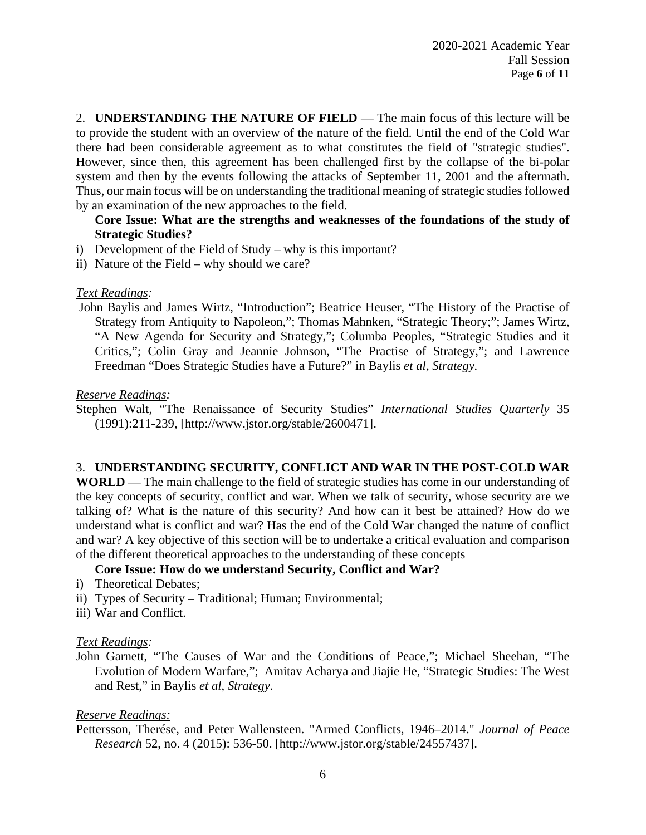2. **UNDERSTANDING THE NATURE OF FIELD** — The main focus of this lecture will be to provide the student with an overview of the nature of the field. Until the end of the Cold War there had been considerable agreement as to what constitutes the field of "strategic studies". However, since then, this agreement has been challenged first by the collapse of the bi-polar system and then by the events following the attacks of September 11, 2001 and the aftermath. Thus, our main focus will be on understanding the traditional meaning of strategic studies followed by an examination of the new approaches to the field.

### **Core Issue: What are the strengths and weaknesses of the foundations of the study of Strategic Studies?**

- i) Development of the Field of Study why is this important?
- ii) Nature of the Field why should we care?

#### *Text Readings:*

John Baylis and James Wirtz, "Introduction"; Beatrice Heuser, "The History of the Practise of Strategy from Antiquity to Napoleon,"; Thomas Mahnken, "Strategic Theory;"; James Wirtz, "A New Agenda for Security and Strategy,"; Columba Peoples, "Strategic Studies and it Critics,"; Colin Gray and Jeannie Johnson, "The Practise of Strategy,"; and Lawrence Freedman "Does Strategic Studies have a Future?" in Baylis *et al*, *Strategy.*

#### *Reserve Readings:*

Stephen Walt, "The Renaissance of Security Studies" *International Studies Quarterly* 35 (1991):211-239, [http://www.jstor.org/stable/2600471].

#### 3. **UNDERSTANDING SECURITY, CONFLICT AND WAR IN THE POST-COLD WAR**

**WORLD** — The main challenge to the field of strategic studies has come in our understanding of the key concepts of security, conflict and war. When we talk of security, whose security are we talking of? What is the nature of this security? And how can it best be attained? How do we understand what is conflict and war? Has the end of the Cold War changed the nature of conflict and war? A key objective of this section will be to undertake a critical evaluation and comparison of the different theoretical approaches to the understanding of these concepts

#### **Core Issue: How do we understand Security, Conflict and War?**

- i) Theoretical Debates;
- ii) Types of Security Traditional; Human; Environmental;
- iii) War and Conflict.

#### *Text Readings:*

John Garnett, "The Causes of War and the Conditions of Peace,"; Michael Sheehan, "The Evolution of Modern Warfare,"; Amitav Acharya and Jiajie He, "Strategic Studies: The West and Rest," in Baylis *et al*, *Strategy*.

#### *Reserve Readings:*

Pettersson, Therése, and Peter Wallensteen. "Armed Conflicts, 1946–2014." *Journal of Peace Research* 52, no. 4 (2015): 536-50. [http://www.jstor.org/stable/24557437].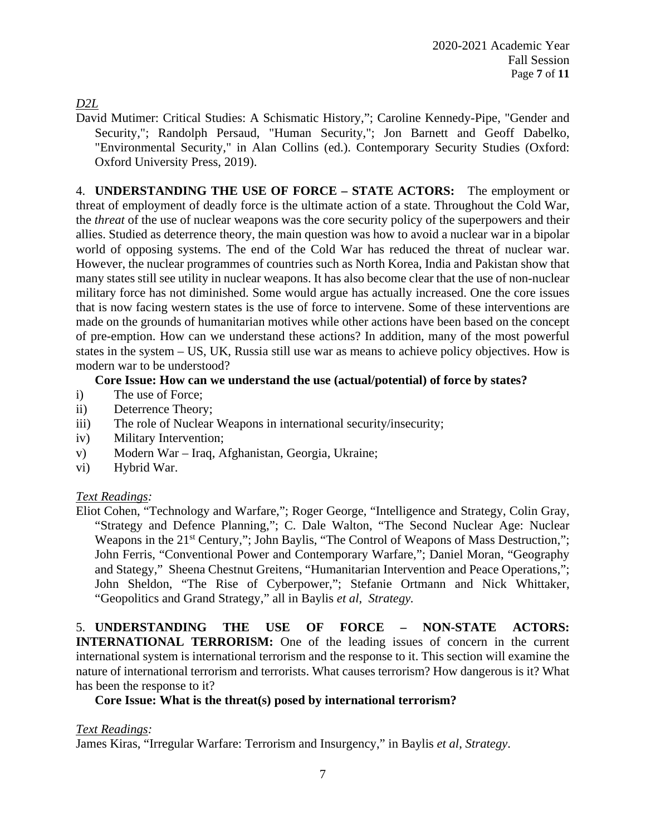*D2L*

David Mutimer: Critical Studies: A Schismatic History,"; Caroline Kennedy-Pipe, "Gender and Security,"; Randolph Persaud, "Human Security,"; Jon Barnett and Geoff Dabelko, "Environmental Security," in Alan Collins (ed.). Contemporary Security Studies (Oxford: Oxford University Press, 2019).

4. **UNDERSTANDING THE USE OF FORCE – STATE ACTORS:** The employment or threat of employment of deadly force is the ultimate action of a state. Throughout the Cold War, the *threat* of the use of nuclear weapons was the core security policy of the superpowers and their allies. Studied as deterrence theory, the main question was how to avoid a nuclear war in a bipolar world of opposing systems. The end of the Cold War has reduced the threat of nuclear war. However, the nuclear programmes of countries such as North Korea, India and Pakistan show that many states still see utility in nuclear weapons. It has also become clear that the use of non-nuclear military force has not diminished. Some would argue has actually increased. One the core issues that is now facing western states is the use of force to intervene. Some of these interventions are made on the grounds of humanitarian motives while other actions have been based on the concept of pre-emption. How can we understand these actions? In addition, many of the most powerful states in the system – US, UK, Russia still use war as means to achieve policy objectives. How is modern war to be understood?

### **Core Issue: How can we understand the use (actual/potential) of force by states?**

- i) The use of Force;
- ii) Deterrence Theory;
- iii) The role of Nuclear Weapons in international security/insecurity;
- iv) Military Intervention;
- v) Modern War Iraq, Afghanistan, Georgia, Ukraine;
- vi) Hybrid War.

#### *Text Readings:*

Eliot Cohen, "Technology and Warfare,"; Roger George, "Intelligence and Strategy, Colin Gray, "Strategy and Defence Planning,"; C. Dale Walton, "The Second Nuclear Age: Nuclear Weapons in the 21<sup>st</sup> Century,"; John Baylis, "The Control of Weapons of Mass Destruction,"; John Ferris, "Conventional Power and Contemporary Warfare,"; Daniel Moran, "Geography and Stategy," Sheena Chestnut Greitens, "Humanitarian Intervention and Peace Operations,"; John Sheldon, "The Rise of Cyberpower,"; Stefanie Ortmann and Nick Whittaker, "Geopolitics and Grand Strategy," all in Baylis *et al*, *Strategy.*

5. **UNDERSTANDING THE USE OF FORCE – NON-STATE ACTORS: INTERNATIONAL TERRORISM:** One of the leading issues of concern in the current international system is international terrorism and the response to it. This section will examine the nature of international terrorism and terrorists. What causes terrorism? How dangerous is it? What has been the response to it?

#### **Core Issue: What is the threat(s) posed by international terrorism?**

#### *Text Readings:*

James Kiras, "Irregular Warfare: Terrorism and Insurgency," in Baylis *et al*, *Strategy*.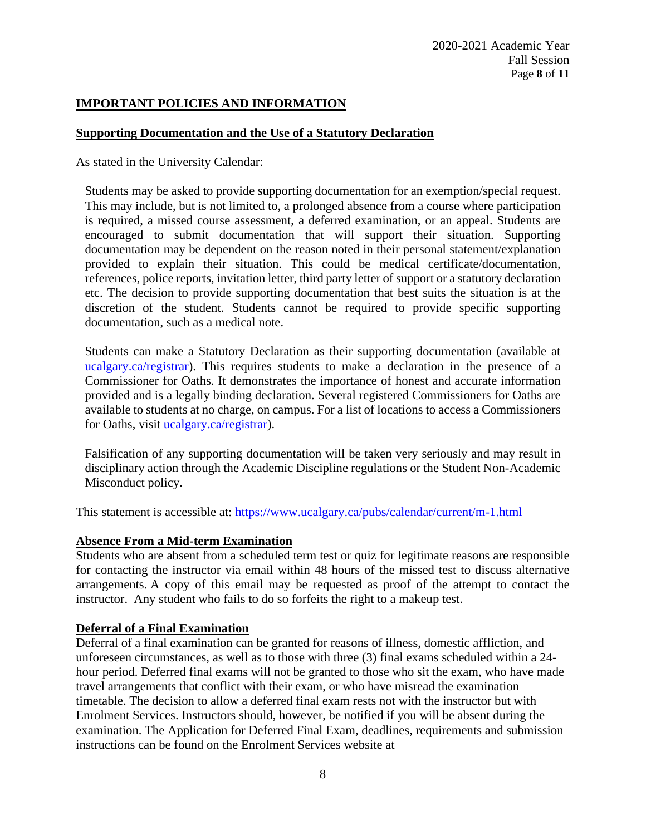## **IMPORTANT POLICIES AND INFORMATION**

#### **Supporting Documentation and the Use of a Statutory Declaration**

As stated in the University Calendar:

Students may be asked to provide supporting documentation for an exemption/special request. This may include, but is not limited to, a prolonged absence from a course where participation is required, a missed course assessment, a deferred examination, or an appeal. Students are encouraged to submit documentation that will support their situation. Supporting documentation may be dependent on the reason noted in their personal statement/explanation provided to explain their situation. This could be medical certificate/documentation, references, police reports, invitation letter, third party letter of support or a statutory declaration etc. The decision to provide supporting documentation that best suits the situation is at the discretion of the student. Students cannot be required to provide specific supporting documentation, such as a medical note.

Students can make a Statutory Declaration as their supporting documentation (available at [ucalgary.ca/registrar\)](http://www.ucalgary.ca/registrar). This requires students to make a declaration in the presence of a Commissioner for Oaths. It demonstrates the importance of honest and accurate information provided and is a legally binding declaration. Several registered Commissioners for Oaths are available to students at no charge, on campus. For a list of locations to access a Commissioners for Oaths, visit [ucalgary.ca/registrar\)](http://www.ucalgary.ca/registrar).

Falsification of any supporting documentation will be taken very seriously and may result in disciplinary action through the Academic Discipline regulations or the Student Non-Academic Misconduct policy.

This statement is accessible at:<https://www.ucalgary.ca/pubs/calendar/current/m-1.html>

#### **Absence From a Mid-term Examination**

Students who are absent from a scheduled term test or quiz for legitimate reasons are responsible for contacting the instructor via email within 48 hours of the missed test to discuss alternative arrangements. A copy of this email may be requested as proof of the attempt to contact the instructor. Any student who fails to do so forfeits the right to a makeup test.

#### **Deferral of a Final Examination**

Deferral of a final examination can be granted for reasons of illness, domestic affliction, and unforeseen circumstances, as well as to those with three (3) final exams scheduled within a 24 hour period. Deferred final exams will not be granted to those who sit the exam, who have made travel arrangements that conflict with their exam, or who have misread the examination timetable. The decision to allow a deferred final exam rests not with the instructor but with Enrolment Services. Instructors should, however, be notified if you will be absent during the examination. The Application for Deferred Final Exam, deadlines, requirements and submission instructions can be found on the Enrolment Services website at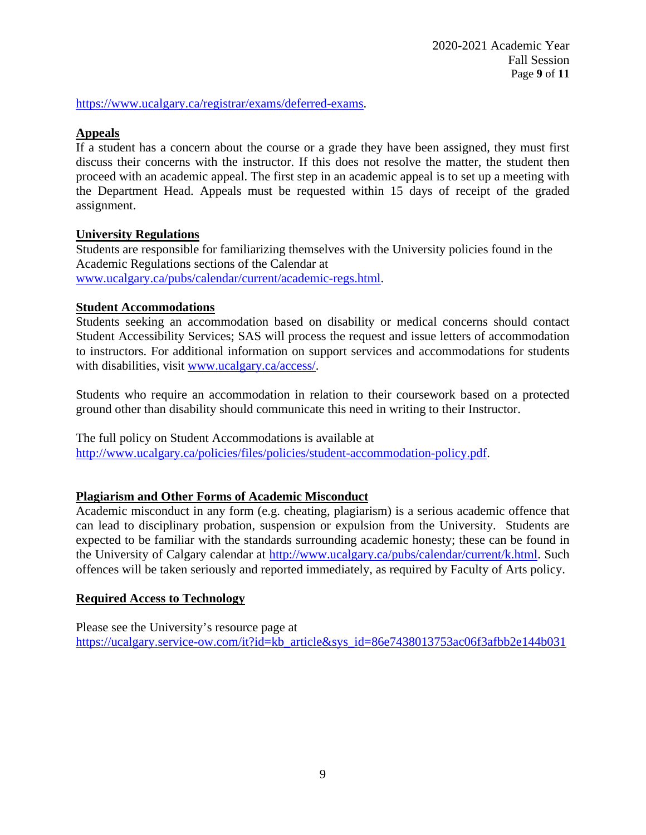[https://www.ucalgary.ca/registrar/exams/deferred-exams.](https://www.ucalgary.ca/registrar/exams/deferred-exams)

### **Appeals**

If a student has a concern about the course or a grade they have been assigned, they must first discuss their concerns with the instructor. If this does not resolve the matter, the student then proceed with an academic appeal. The first step in an academic appeal is to set up a meeting with the Department Head. Appeals must be requested within 15 days of receipt of the graded assignment.

#### **University Regulations**

Students are responsible for familiarizing themselves with the University policies found in the Academic Regulations sections of the Calendar at [www.ucalgary.ca/pubs/calendar/current/academic-regs.html.](http://www.ucalgary.ca/pubs/calendar/current/academic-regs.html)

### **Student Accommodations**

Students seeking an accommodation based on disability or medical concerns should contact Student Accessibility Services; SAS will process the request and issue letters of accommodation to instructors. For additional information on support services and accommodations for students with disabilities, visit [www.ucalgary.ca/access/.](http://www.ucalgary.ca/access/)

Students who require an accommodation in relation to their coursework based on a protected ground other than disability should communicate this need in writing to their Instructor.

The full policy on Student Accommodations is available at [http://www.ucalgary.ca/policies/files/policies/student-accommodation-policy.pdf.](http://www.ucalgary.ca/policies/files/policies/student-accommodation-policy.pdf)

## **Plagiarism and Other Forms of Academic Misconduct**

Academic misconduct in any form (e.g. cheating, plagiarism) is a serious academic offence that can lead to disciplinary probation, suspension or expulsion from the University. Students are expected to be familiar with the standards surrounding academic honesty; these can be found in the University of Calgary calendar at [http://www.ucalgary.ca/pubs/calendar/current/k.html.](http://www.ucalgary.ca/pubs/calendar/current/k.html) Such offences will be taken seriously and reported immediately, as required by Faculty of Arts policy.

#### **Required Access to Technology**

Please see the University's resource page at [https://ucalgary.service-ow.com/it?id=kb\\_article&sys\\_id=86e7438013753ac06f3afbb2e144b031](https://ucalgary.service-ow.com/it?id=kb_article&sys_id=86e7438013753ac06f3afbb2e144b031)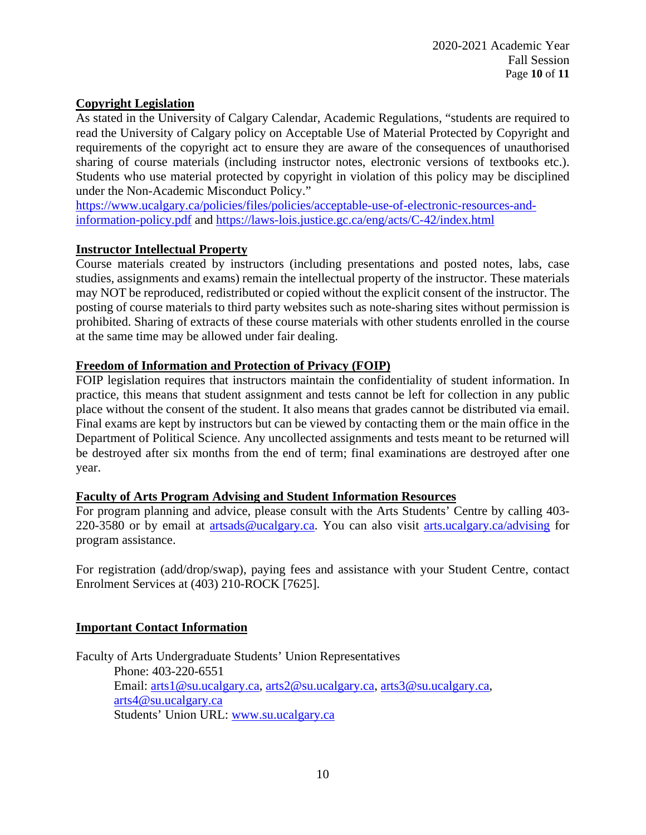## **Copyright Legislation**

As stated in the University of Calgary Calendar, Academic Regulations, "students are required to read the University of Calgary policy on Acceptable Use of Material Protected by Copyright and requirements of the copyright act to ensure they are aware of the consequences of unauthorised sharing of course materials (including instructor notes, electronic versions of textbooks etc.). Students who use material protected by copyright in violation of this policy may be disciplined under the Non-Academic Misconduct Policy."

[https://www.ucalgary.ca/policies/files/policies/acceptable-use-of-electronic-resources-and](https://www.ucalgary.ca/policies/files/policies/acceptable-use-of-electronic-resources-and-information-policy.pdf)[information-policy.pdf](https://www.ucalgary.ca/policies/files/policies/acceptable-use-of-electronic-resources-and-information-policy.pdf) and<https://laws-lois.justice.gc.ca/eng/acts/C-42/index.html>

### **Instructor Intellectual Property**

Course materials created by instructors (including presentations and posted notes, labs, case studies, assignments and exams) remain the intellectual property of the instructor. These materials may NOT be reproduced, redistributed or copied without the explicit consent of the instructor. The posting of course materials to third party websites such as note-sharing sites without permission is prohibited. Sharing of extracts of these course materials with other students enrolled in the course at the same time may be allowed under fair dealing.

### **Freedom of Information and Protection of Privacy (FOIP)**

FOIP legislation requires that instructors maintain the confidentiality of student information. In practice, this means that student assignment and tests cannot be left for collection in any public place without the consent of the student. It also means that grades cannot be distributed via email. Final exams are kept by instructors but can be viewed by contacting them or the main office in the Department of Political Science. Any uncollected assignments and tests meant to be returned will be destroyed after six months from the end of term; final examinations are destroyed after one year.

#### **Faculty of Arts Program Advising and Student Information Resources**

For program planning and advice, please consult with the Arts Students' Centre by calling 403- 220-3580 or by email at [artsads@ucalgary.ca.](mailto:artsads@ucalgary.ca) You can also visit [arts.ucalgary.ca/advising](http://arts.ucalgary.ca/advising) for program assistance.

For registration (add/drop/swap), paying fees and assistance with your Student Centre, contact Enrolment Services at (403) 210-ROCK [7625].

#### **Important Contact Information**

Faculty of Arts Undergraduate Students' Union Representatives Phone: 403-220-6551 Email: [arts1@su.ucalgary.ca,](mailto:arts1@su.ucalgary.ca) [arts2@su.ucalgary.ca,](mailto:arts2@su.ucalgary.ca) [arts3@su.ucalgary.ca,](mailto:arts3@su.ucalgary.ca) [arts4@su.ucalgary.ca](mailto:arts4@su.ucalgary.ca) Students' Union URL: [www.su.ucalgary.ca](http://www.su.ucalgary.ca/)